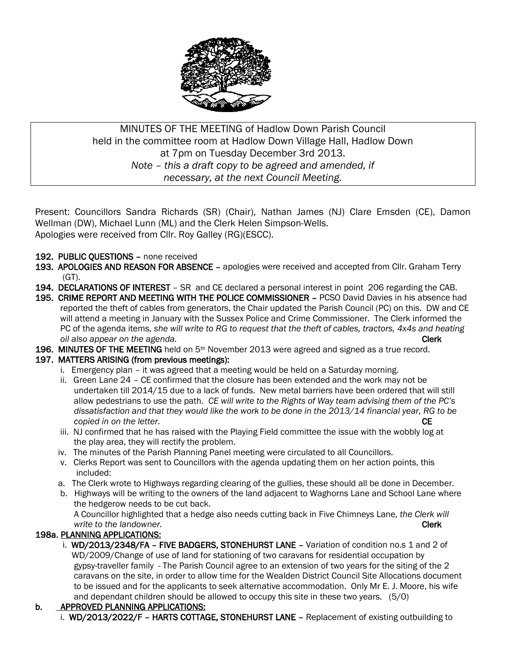

# MINUTES OF THE MEETING of Hadlow Down Parish Council held in the committee room at Hadlow Down Village Hall, Hadlow Down at 7pm on Tuesday December 3rd 2013. *Note – this a draft copy to be agreed and amended, if necessary, at the next Council Meeting.*

Present: Councillors Sandra Richards (SR) (Chair), Nathan James (NJ) Clare Emsden (CE), Damon Wellman (DW), Michael Lunn (ML) and the Clerk Helen Simpson-Wells. Apologies were received from Cllr. Roy Galley (RG)(ESCC).

- 192. PUBLIC QUESTIONS none received
- 193. APOLOGIES AND REASON FOR ABSENCE apologies were received and accepted from Cllr. Graham Terry (GT).
- 194. DECLARATIONS OF INTEREST SR and CE declared a personal interest in point 206 regarding the CAB.
- 195. CRIME REPORT AND MEETING WITH THE POLICE COMMISSIONER PCSO David Davies in his absence had reported the theft of cables from generators, the Chair updated the Parish Council (PC) on this. DW and CE will attend a meeting in January with the Sussex Police and Crime Commissioner. The Clerk informed the PC of the agenda items*, she will write to RG to request that the theft of cables, tractors, 4x4s and heating a oil also appear on the agenda.* Clerk *Clerk*
- 196. MINUTES OF THE MEETING held on 5<sup>th</sup> November 2013 were agreed and signed as a true record.

### 197. MATTERS ARISING (from previous meetings):

- i. Emergency plan it was agreed that a meeting would be held on a Saturday morning.
- ii. Green Lane 24 CE confirmed that the closure has been extended and the work may not be undertaken till 2014/15 due to a lack of funds. New metal barriers have been ordered that will still allow pedestrians to use the path. *CE will write to the Rights of Way team advising them of the PC's dissatisfaction and that they would like the work to be done in the 2013/14 financial year, RG to be copied in on the letter.* CE
- iii. NJ confirmed that he has raised with the Playing Field committee the issue with the wobbly log at the play area, they will rectify the problem.
- iv. The minutes of the Parish Planning Panel meeting were circulated to all Councillors.
- v. Clerks Report was sent to Councillors with the agenda updating them on her action points, this included:
- a. The Clerk wrote to Highways regarding clearing of the gullies, these should all be done in December.
- b. Highways will be writing to the owners of the land adjacent to Waghorns Lane and School Lane where the hedgerow needs to be cut back.

 A Councillor highlighted that a hedge also needs cutting back in Five Chimneys Lane, *the Clerk will write to the landowner.* Clerk and the landowner control of the landowner.

# 198a. PLANNING APPLICATIONS:

i. WD/2013/2348/FA - FIVE BADGERS, STONEHURST LANE - Variation of condition no.s 1 and 2 of WD/2009/Change of use of land for stationing of two caravans for residential occupation by gypsy-traveller family - The Parish Council agree to an extension of two years for the siting of the 2 caravans on the site, in order to allow time for the Wealden District Council Site Allocations document to be issued and for the applicants to seek alternative accommodation. Only Mr E. J. Moore, his wife and dependant children should be allowed to occupy this site in these two years. (5/0)

# b. APPROVED PLANNING APPLICATIONS:

i. WD/2013/2022/F - HARTS COTTAGE, STONEHURST LANE - Replacement of existing outbuilding to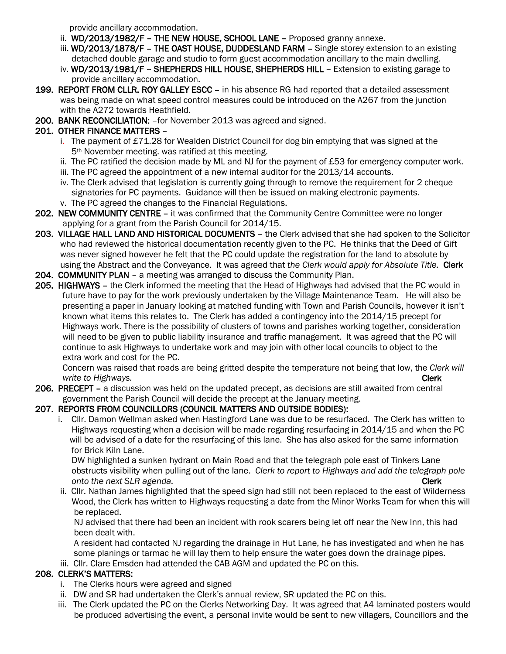provide ancillary accommodation.

- ii. WD/2013/1982/F THE NEW HOUSE, SCHOOL LANE Proposed granny annexe.
- iii. WD/2013/1878/F THE OAST HOUSE, DUDDESLAND FARM Single storey extension to an existing detached double garage and studio to form guest accommodation ancillary to the main dwelling.
- iv. WD/2013/1981/F SHEPHERDS HILL HOUSE, SHEPHERDS HILL Extension to existing garage to provide ancillary accommodation.
- 199. REPORT FROM CLLR. ROY GALLEY ESCC in his absence RG had reported that a detailed assessment was being made on what speed control measures could be introduced on the A267 from the junction with the A272 towards Heathfield.
- 200. BANK RECONCILIATION: –for November 2013 was agreed and signed.

## 201. OTHER FINANCE MATTERS –

- i. The payment of £71.28 for Wealden District Council for dog bin emptying that was signed at the 5th November meeting. was ratified at this meeting.
- ii. The PC ratified the decision made by ML and NJ for the payment of £53 for emergency computer work.
- iii. The PC agreed the appointment of a new internal auditor for the 2013/14 accounts.
- iv. The Clerk advised that legislation is currently going through to remove the requirement for 2 cheque signatories for PC payments. Guidance will then be issued on making electronic payments.
- v. The PC agreed the changes to the Financial Regulations.
- 202. NEW COMMUNITY CENTRE it was confirmed that the Community Centre Committee were no longer applying for a grant from the Parish Council for 2014/15.
- 203. VILLAGE HALL LAND AND HISTORICAL DOCUMENTS the Clerk advised that she had spoken to the Solicitor who had reviewed the historical documentation recently given to the PC. He thinks that the Deed of Gift was never signed however he felt that the PC could update the registration for the land to absolute by using the Abstract and the Conveyance. It was agreed that *the Clerk would apply for Absolute Title.* Clerk
- 204. COMMUNITY PLAN a meeting was arranged to discuss the Community Plan.
- 205. HIGHWAYS the Clerk informed the meeting that the Head of Highways had advised that the PC would in future have to pay for the work previously undertaken by the Village Maintenance Team. He will also be presenting a paper in January looking at matched funding with Town and Parish Councils, however it isn't known what items this relates to. The Clerk has added a contingency into the 2014/15 precept for Highways work. There is the possibility of clusters of towns and parishes working together, consideration will need to be given to public liability insurance and traffic management. It was agreed that the PC will continue to ask Highways to undertake work and may join with other local councils to object to the extra work and cost for the PC.

 Concern was raised that roads are being gritted despite the temperature not being that low, the *Clerk will write to Highways.* Clerk

206. PRECEPT – a discussion was held on the updated precept, as decisions are still awaited from central government the Parish Council will decide the precept at the January meeting.

### 207. REPORTS FROM COUNCILLORS (COUNCIL MATTERS AND OUTSIDE BODIES):

 i. Cllr. Damon Wellman asked when Hastingford Lane was due to be resurfaced. The Clerk has written to Highways requesting when a decision will be made regarding resurfacing in 2014/15 and when the PC will be advised of a date for the resurfacing of this lane. She has also asked for the same information for Brick Kiln Lane.

 DW highlighted a sunken hydrant on Main Road and that the telegraph pole east of Tinkers Lane obstructs visibility when pulling out of the lane. *Clerk to report to Highways and add the telegraph pole and the next SLR agenda.* Clerk and the next SLR agenda.

 ii. Cllr. Nathan James highlighted that the speed sign had still not been replaced to the east of Wilderness Wood, the Clerk has written to Highways requesting a date from the Minor Works Team for when this will be replaced.

 NJ advised that there had been an incident with rook scarers being let off near the New Inn, this had been dealt with.

 A resident had contacted NJ regarding the drainage in Hut Lane, he has investigated and when he has some planings or tarmac he will lay them to help ensure the water goes down the drainage pipes.

iii. Cllr. Clare Emsden had attended the CAB AGM and updated the PC on this.

# 208. CLERK'S MATTERS:

- i. The Clerks hours were agreed and signed
- ii. DW and SR had undertaken the Clerk's annual review, SR updated the PC on this.
- iii. The Clerk updated the PC on the Clerks Networking Day. It was agreed that A4 laminated posters would be produced advertising the event, a personal invite would be sent to new villagers, Councillors and the